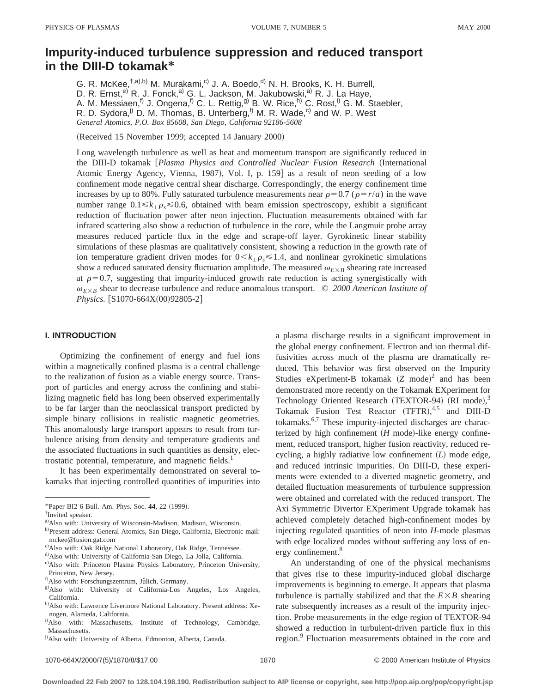# **Impurity-induced turbulence suppression and reduced transport in the DIII-D tokamak\***

G. R. McKee,<sup>†,a),b)</sup> M. Murakami,<sup>c)</sup> J. A. Boedo,<sup>d)</sup> N. H. Brooks, K. H. Burrell, D. R. Ernst,<sup>e)</sup> R. J. Fonck,<sup>a)</sup> G. L. Jackson, M. Jakubowski,<sup>a)</sup> R. J. La Haye, A. M. Messiaen,<sup>f)</sup> J. Ongena,<sup>f)</sup> C. L. Rettig,<sup>g)</sup> B. W. Rice,<sup>h)</sup> C. Rost,<sup>i)</sup> G. M. Staebler, R. D. Sydora,  $j$  D. M. Thomas, B. Unterberg,  $j$  M. R. Wade,  $c$  and W. P. West *General Atomics, P.O. Box 85608, San Diego, California 92186-5608*

(Received 15 November 1999; accepted 14 January 2000)

Long wavelength turbulence as well as heat and momentum transport are significantly reduced in the DIII-D tokamak [Plasma Physics and Controlled Nuclear Fusion Research (International Atomic Energy Agency, Vienna, 1987), Vol. I, p. 159] as a result of neon seeding of a low confinement mode negative central shear discharge. Correspondingly, the energy confinement time increases by up to 80%. Fully saturated turbulence measurements near  $\rho$  = 0.7 ( $\rho$  = *r*/*a*) in the wave number range  $0.1 \le k_1 \rho_s \le 0.6$ , obtained with beam emission spectroscopy, exhibit a significant reduction of fluctuation power after neon injection. Fluctuation measurements obtained with far infrared scattering also show a reduction of turbulence in the core, while the Langmuir probe array measures reduced particle flux in the edge and scrape-off layer. Gyrokinetic linear stability simulations of these plasmas are qualitatively consistent, showing a reduction in the growth rate of ion temperature gradient driven modes for  $0 \lt k_1 \rho_s \leq 1.4$ , and nonlinear gyrokinetic simulations show a reduced saturated density fluctuation amplitude. The measured  $\omega_{E\times B}$  shearing rate increased at  $\rho=0.7$ , suggesting that impurity-induced growth rate reduction is acting synergistically with  $\omega_{E\times B}$  shear to decrease turbulence and reduce anomalous transport.  $\heartsuit$  2000 American Institute of *Physics.* [S1070-664X(00)92805-2]

## **I. INTRODUCTION**

Optimizing the confinement of energy and fuel ions within a magnetically confined plasma is a central challenge to the realization of fusion as a viable energy source. Transport of particles and energy across the confining and stabilizing magnetic field has long been observed experimentally to be far larger than the neoclassical transport predicted by simple binary collisions in realistic magnetic geometries. This anomalously large transport appears to result from turbulence arising from density and temperature gradients and the associated fluctuations in such quantities as density, electrostatic potential, temperature, and magnetic fields.<sup>1</sup>

It has been experimentally demonstrated on several tokamaks that injecting controlled quantities of impurities into

- a) Also with: University of Wisconsin-Madison, Madison, Wisconsin.
- <sup>b)</sup>Present address: General Atomics, San Diego, California, Electronic mail: mckee@fusion.gat.com
- c) Also with: Oak Ridge National Laboratory, Oak Ridge, Tennessee.
- d) Also with: University of California-San Diego, La Jolla, California.
- e) Also with: Princeton Plasma Physics Laboratory, Princeton University, Princeton, New Jersey.
- f)Also with: Forschungszentrum, Jülich, Germany.
- g)Also with: University of California-Los Angeles, Los Angeles, California.
- h) Also with: Lawrence Livermore National Laboratory. Present address: Xenogen, Alameda, California.
- i)Also with: Massachusetts, Institute of Technology, Cambridge, Massachusetts.
- i)Also with: University of Alberta, Edmonton, Alberta, Canada.

a plasma discharge results in a significant improvement in the global energy confinement. Electron and ion thermal diffusivities across much of the plasma are dramatically reduced. This behavior was first observed on the Impurity Studies eXperiment-B tokamak  $(Z \text{ mode})^2$  and has been demonstrated more recently on the Tokamak EXperiment for Technology Oriented Research (TEXTOR-94) (RI mode),<sup>3</sup> Tokamak Fusion Test Reactor (TFTR),<sup>4,5</sup> and DIII-D tokamaks.6,7 These impurity-injected discharges are characterized by high confinement  $(H \text{ mode})$ -like energy confinement, reduced transport, higher fusion reactivity, reduced recycling, a highly radiative low confinement  $(L)$  mode edge, and reduced intrinsic impurities. On DIII-D, these experiments were extended to a diverted magnetic geometry, and detailed fluctuation measurements of turbulence suppression were obtained and correlated with the reduced transport. The Axi Symmetric Divertor EXperiment Upgrade tokamak has achieved completely detached high-confinement modes by injecting regulated quantities of neon into *H*-mode plasmas with edge localized modes without suffering any loss of energy confinement.<sup>8</sup>

An understanding of one of the physical mechanisms that gives rise to these impurity-induced global discharge improvements is beginning to emerge. It appears that plasma turbulence is partially stabilized and that the  $E \times B$  shearing rate subsequently increases as a result of the impurity injection. Probe measurements in the edge region of TEXTOR-94 showed a reduction in turbulent-driven particle flux in this region.<sup>9</sup> Fluctuation measurements obtained in the core and

<sup>\*</sup>Paper BI2 6 Bull. Am. Phys. Soc. 44, 22 (1999).

<sup>†</sup> Invited speaker.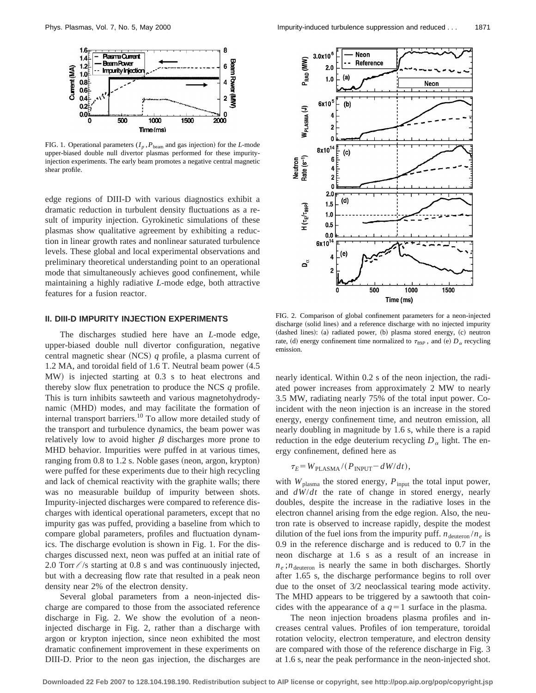

FIG. 1. Operational parameters  $(I_p, P_{\text{beam}})$  and gas injection for the *L*-mode upper-biased double null divertor plasmas performed for these impurityinjection experiments. The early beam promotes a negative central magnetic shear profile.

edge regions of DIII-D with various diagnostics exhibit a dramatic reduction in turbulent density fluctuations as a result of impurity injection. Gyrokinetic simulations of these plasmas show qualitative agreement by exhibiting a reduction in linear growth rates and nonlinear saturated turbulence levels. These global and local experimental observations and preliminary theoretical understanding point to an operational mode that simultaneously achieves good confinement, while maintaining a highly radiative *L*-mode edge, both attractive features for a fusion reactor.

### **II. DIII-D IMPURITY INJECTION EXPERIMENTS**

The discharges studied here have an *L*-mode edge, upper-biased double null divertor configuration, negative central magnetic shear (NCS)  $q$  profile, a plasma current of 1.2 MA, and toroidal field of 1.6 T. Neutral beam power  $(4.5$ MW) is injected starting at 0.3 s to heat electrons and thereby slow flux penetration to produce the NCS *q* profile. This is turn inhibits sawteeth and various magnetohydrodynamic (MHD) modes, and may facilitate the formation of internal transport barriers.<sup>10</sup> To allow more detailed study of the transport and turbulence dynamics, the beam power was relatively low to avoid higher  $\beta$  discharges more prone to MHD behavior. Impurities were puffed in at various times, ranging from  $0.8$  to  $1.2$  s. Noble gases (neon, argon, krypton) were puffed for these experiments due to their high recycling and lack of chemical reactivity with the graphite walls; there was no measurable buildup of impurity between shots. Impurity-injected discharges were compared to reference discharges with identical operational parameters, except that no impurity gas was puffed, providing a baseline from which to compare global parameters, profiles and fluctuation dynamics. The discharge evolution is shown in Fig. 1. For the discharges discussed next, neon was puffed at an initial rate of 2.0 Torr  $\ell$ /s starting at 0.8 s and was continuously injected, but with a decreasing flow rate that resulted in a peak neon density near 2% of the electron density.

Several global parameters from a neon-injected discharge are compared to those from the associated reference discharge in Fig. 2. We show the evolution of a neoninjected discharge in Fig. 2, rather than a discharge with argon or krypton injection, since neon exhibited the most dramatic confinement improvement in these experiments on DIII-D. Prior to the neon gas injection, the discharges are



FIG. 2. Comparison of global confinement parameters for a neon-injected discharge (solid lines) and a reference discharge with no injected impurity (dashed lines): (a) radiated power, (b) plasma stored energy, (c) neutron rate, (d) energy confinement time normalized to  $\tau_{89P}$ , and (e)  $D_{\alpha}$  recycling emission.

nearly identical. Within 0.2 s of the neon injection, the radiated power increases from approximately 2 MW to nearly 3.5 MW, radiating nearly 75% of the total input power. Coincident with the neon injection is an increase in the stored energy, energy confinement time, and neutron emission, all nearly doubling in magnitude by 1.6 s, while there is a rapid reduction in the edge deuterium recycling  $D_{\alpha}$  light. The energy confinement, defined here as

$$
\tau_E = W_{\rm PLASMA} / (P_{\rm INPUT} - dW/dt),
$$

with  $W_{\text{plasma}}$  the stored energy,  $P_{\text{input}}$  the total input power, and *dW*/*dt* the rate of change in stored energy, nearly doubles, despite the increase in the radiative loses in the electron channel arising from the edge region. Also, the neutron rate is observed to increase rapidly, despite the modest dilution of the fuel ions from the impurity puff.  $n_{\text{deuteron}}/n_e$  is 0.9 in the reference discharge and is reduced to 0.7 in the neon discharge at 1.6 s as a result of an increase in  $n_e$ ; $n_{\text{deuteron}}$  is nearly the same in both discharges. Shortly after 1.65 s, the discharge performance begins to roll over due to the onset of 3/2 neoclassical tearing mode activity. The MHD appears to be triggered by a sawtooth that coincides with the appearance of a  $q=1$  surface in the plasma.

The neon injection broadens plasma profiles and increases central values. Profiles of ion temperature, toroidal rotation velocity, electron temperature, and electron density are compared with those of the reference discharge in Fig. 3 at 1.6 s, near the peak performance in the neon-injected shot.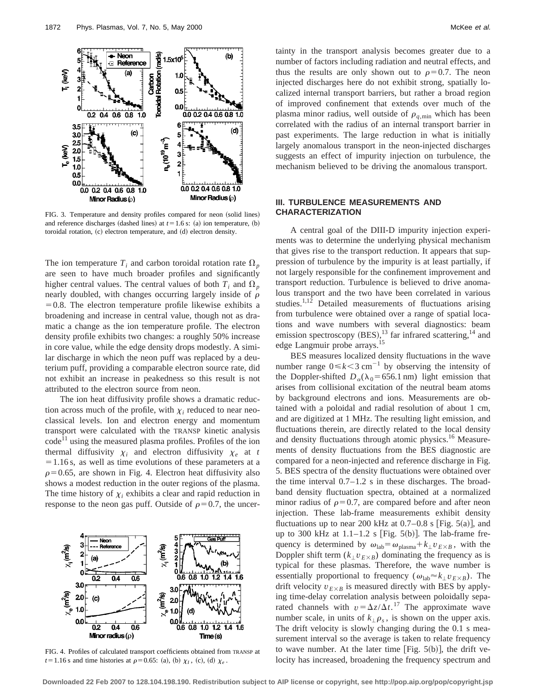

FIG. 3. Temperature and density profiles compared for neon (solid lines) and reference discharges (dashed lines) at  $t=1.6$  s: (a) ion temperature, (b) toroidal rotation, (c) electron temperature, and (d) electron density.

The ion temperature  $T_i$  and carbon toroidal rotation rate  $\Omega_p$ are seen to have much broader profiles and significantly higher central values. The central values of both  $T_i$  and  $\Omega_p$ nearly doubled, with changes occurring largely inside of  $\rho$  $=0.8$ . The electron temperature profile likewise exhibits a broadening and increase in central value, though not as dramatic a change as the ion temperature profile. The electron density profile exhibits two changes: a roughly 50% increase in core value, while the edge density drops modestly. A similar discharge in which the neon puff was replaced by a deuterium puff, providing a comparable electron source rate, did not exhibit an increase in peakedness so this result is not attributed to the electron source from neon.

The ion heat diffusivity profile shows a dramatic reduction across much of the profile, with  $\chi_i$  reduced to near neoclassical levels. Ion and electron energy and momentum transport were calculated with the TRANSP kinetic analysis  $code<sup>11</sup>$  using the measured plasma profiles. Profiles of the ion thermal diffusivity  $\chi_i$  and electron diffusivity  $\chi_e$  at *t*  $=1.16$  s, as well as time evolutions of these parameters at a  $\rho$ =0.65, are shown in Fig. 4. Electron heat diffusivity also shows a modest reduction in the outer regions of the plasma. The time history of  $\chi_i$  exhibits a clear and rapid reduction in response to the neon gas puff. Outside of  $\rho=0.7$ , the uncer-



FIG. 4. Profiles of calculated transport coefficients obtained from TRANSP at *t*=1.16 s and time histories at  $\rho$ =0.65: (a), (b)  $\chi$ <sup>*I*</sup>, (c), (d)  $\chi$ <sup>*e*</sup>.

tainty in the transport analysis becomes greater due to a number of factors including radiation and neutral effects, and thus the results are only shown out to  $\rho=0.7$ . The neon injected discharges here do not exhibit strong, spatially localized internal transport barriers, but rather a broad region of improved confinement that extends over much of the plasma minor radius, well outside of  $\rho_{q,\text{min}}$  which has been correlated with the radius of an internal transport barrier in past experiments. The large reduction in what is initially largely anomalous transport in the neon-injected discharges suggests an effect of impurity injection on turbulence, the mechanism believed to be driving the anomalous transport.

## **III. TURBULENCE MEASUREMENTS AND CHARACTERIZATION**

A central goal of the DIII-D impurity injection experiments was to determine the underlying physical mechanism that gives rise to the transport reduction. It appears that suppression of turbulence by the impurity is at least partially, if not largely responsible for the confinement improvement and transport reduction. Turbulence is believed to drive anomalous transport and the two have been correlated in various studies.<sup>1,12</sup> Detailed measurements of fluctuations arising from turbulence were obtained over a range of spatial locations and wave numbers with several diagnostics: beam emission spectroscopy  $(BES),<sup>13</sup>$  far infrared scattering,<sup>14</sup> and edge Langmuir probe arrays.<sup>15</sup>

BES measures localized density fluctuations in the wave number range  $0 \le k < 3$  cm<sup>-1</sup> by observing the intensity of the Doppler-shifted  $D_{\alpha}(\lambda_0=656.1 \text{ nm})$  light emission that arises from collisional excitation of the neutral beam atoms by background electrons and ions. Measurements are obtained with a poloidal and radial resolution of about 1 cm, and are digitized at 1 MHz. The resulting light emission, and fluctuations therein, are directly related to the local density and density fluctuations through atomic physics.<sup>16</sup> Measurements of density fluctuations from the BES diagnostic are compared for a neon-injected and reference discharge in Fig. 5. BES spectra of the density fluctuations were obtained over the time interval 0.7–1.2 s in these discharges. The broadband density fluctuation spectra, obtained at a normalized minor radius of  $\rho=0.7$ , are compared before and after neon injection. These lab-frame measurements exhibit density fluctuations up to near 200 kHz at  $0.7-0.8$  s [Fig. 5(a)], and up to 300 kHz at  $1.1-1.2$  s [Fig. 5(b)]. The lab-frame frequency is determined by  $\omega_{\text{lab}} = \omega_{\text{plasma}} + k_{\perp}v_{E \times B}$ , with the Doppler shift term  $(k_{\perp}v_{E\times B})$  dominating the frequency as is typical for these plasmas. Therefore, the wave number is essentially proportional to frequency ( $\omega_{lab} \approx k_{\perp} v_{E \times B}$ ). The drift velocity  $v_{E\times B}$  is measured directly with BES by applying time-delay correlation analysis between poloidally separated channels with  $v = \Delta z / \Delta t$ .<sup>17</sup> The approximate wave number scale, in units of  $k_1 \rho_s$ , is shown on the upper axis. The drift velocity is slowly changing during the 0.1 s measurement interval so the average is taken to relate frequency to wave number. At the later time [Fig.  $5(b)$ ], the drift velocity has increased, broadening the frequency spectrum and

**Downloaded 22 Feb 2007 to 128.104.198.190. Redistribution subject to AIP license or copyright, see http://pop.aip.org/pop/copyright.jsp**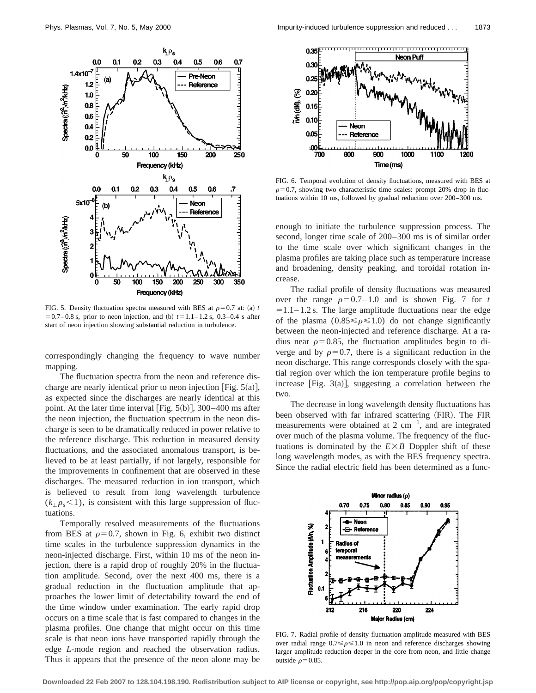

FIG. 5. Density fluctuation spectra measured with BES at  $\rho$ =0.7 at: (a) *t*  $= 0.7 - 0.8$  s, prior to neon injection, and (b)  $t = 1.1 - 1.2$  s, 0.3–0.4 s after start of neon injection showing substantial reduction in turbulence.

correspondingly changing the frequency to wave number mapping.

The fluctuation spectra from the neon and reference discharge are nearly identical prior to neon injection [Fig.  $5(a)$ ], as expected since the discharges are nearly identical at this point. At the later time interval [Fig.  $5(b)$ ], 300–400 ms after the neon injection, the fluctuation spectrum in the neon discharge is seen to be dramatically reduced in power relative to the reference discharge. This reduction in measured density fluctuations, and the associated anomalous transport, is believed to be at least partially, if not largely, responsible for the improvements in confinement that are observed in these discharges. The measured reduction in ion transport, which is believed to result from long wavelength turbulence  $(k_{\perp} \rho_s \le 1)$ , is consistent with this large suppression of fluctuations.

Temporally resolved measurements of the fluctuations from BES at  $\rho=0.7$ , shown in Fig. 6, exhibit two distinct time scales in the turbulence suppression dynamics in the neon-injected discharge. First, within 10 ms of the neon injection, there is a rapid drop of roughly 20% in the fluctuation amplitude. Second, over the next 400 ms, there is a gradual reduction in the fluctuation amplitude that approaches the lower limit of detectability toward the end of the time window under examination. The early rapid drop occurs on a time scale that is fast compared to changes in the plasma profiles. One change that might occur on this time scale is that neon ions have transported rapidly through the edge *L*-mode region and reached the observation radius. Thus it appears that the presence of the neon alone may be



FIG. 6. Temporal evolution of density fluctuations, measured with BES at  $\rho$ =0.7, showing two characteristic time scales: prompt 20% drop in fluctuations within 10 ms, followed by gradual reduction over 200–300 ms.

enough to initiate the turbulence suppression process. The second, longer time scale of 200–300 ms is of similar order to the time scale over which significant changes in the plasma profiles are taking place such as temperature increase and broadening, density peaking, and toroidal rotation increase.

The radial profile of density fluctuations was measured over the range  $\rho = 0.7 - 1.0$  and is shown Fig. 7 for *t*  $=1.1-1.2$  s. The large amplitude fluctuations near the edge of the plasma  $(0.85 \leq \rho \leq 1.0)$  do not change significantly between the neon-injected and reference discharge. At a radius near  $\rho=0.85$ , the fluctuation amplitudes begin to diverge and by  $\rho=0.7$ , there is a significant reduction in the neon discharge. This range corresponds closely with the spatial region over which the ion temperature profile begins to increase [Fig. 3(a)], suggesting a correlation between the two.

The decrease in long wavelength density fluctuations has been observed with far infrared scattering (FIR). The FIR measurements were obtained at 2  $cm^{-1}$ , and are integrated over much of the plasma volume. The frequency of the fluctuations is dominated by the  $E \times B$  Doppler shift of these long wavelength modes, as with the BES frequency spectra. Since the radial electric field has been determined as a func-



FIG. 7. Radial profile of density fluctuation amplitude measured with BES over radial range  $0.7 \le \rho \le 1.0$  in neon and reference discharges showing larger amplitude reduction deeper in the core from neon, and little change outside  $\rho$ =0.85.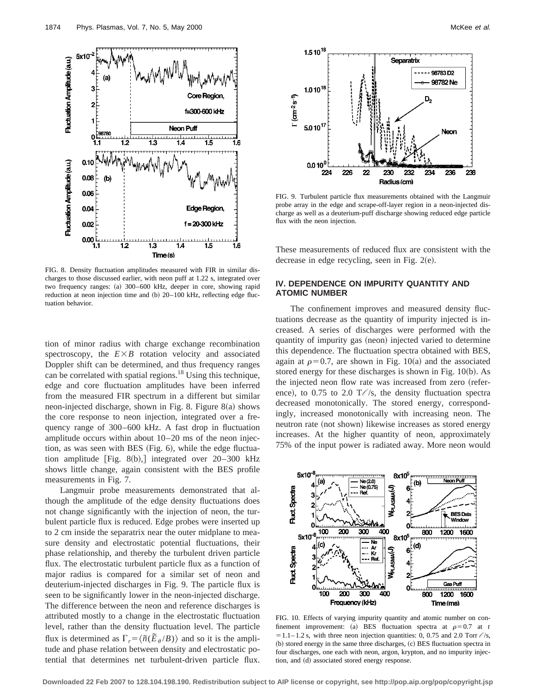



FIG. 9. Turbulent particle flux measurements obtained with the Langmuir probe array in the edge and scrape-off-layer region in a neon-injected discharge as well as a deuterium-puff discharge showing reduced edge particle flux with the neon injection.

These measurements of reduced flux are consistent with the decrease in edge recycling, seen in Fig.  $2(e)$ .

FIG. 8. Density fluctuation amplitudes measured with FIR in similar discharges to those discussed earlier, with neon puff at 1.22 s, integrated over two frequency ranges: (a) 300–600 kHz, deeper in core, showing rapid reduction at neon injection time and  $(b)$  20–100 kHz, reflecting edge fluctuation behavior.

tion of minor radius with charge exchange recombination spectroscopy, the  $E \times B$  rotation velocity and associated Doppler shift can be determined, and thus frequency ranges can be correlated with spatial regions.<sup>18</sup> Using this technique, edge and core fluctuation amplitudes have been inferred from the measured FIR spectrum in a different but similar neon-injected discharge, shown in Fig. 8. Figure  $8(a)$  shows the core response to neon injection, integrated over a frequency range of 300–600 kHz. A fast drop in fluctuation amplitude occurs within about 10–20 ms of the neon injection, as was seen with BES (Fig.  $6$ ), while the edge fluctuation amplitude  $|Fig. 8(b),|$  integrated over 20–300 kHz shows little change, again consistent with the BES profile measurements in Fig. 7.

Langmuir probe measurements demonstrated that although the amplitude of the edge density fluctuations does not change significantly with the injection of neon, the turbulent particle flux is reduced. Edge probes were inserted up to 2 cm inside the separatrix near the outer midplane to measure density and electrostatic potential fluctuations, their phase relationship, and thereby the turbulent driven particle flux. The electrostatic turbulent particle flux as a function of major radius is compared for a similar set of neon and deuterium-injected discharges in Fig. 9. The particle flux is seen to be significantly lower in the neon-injected discharge. The difference between the neon and reference discharges is attributed mostly to a change in the electrostatic fluctuation level, rather than the density fluctuation level. The particle flux is determined as  $\Gamma_r = \langle \tilde{n}(\tilde{E}_{\theta}/B) \rangle$  and so it is the amplitude and phase relation between density and electrostatic potential that determines net turbulent-driven particle flux.

# **IV. DEPENDENCE ON IMPURITY QUANTITY AND ATOMIC NUMBER**

The confinement improves and measured density fluctuations decrease as the quantity of impurity injected is increased. A series of discharges were performed with the quantity of impurity gas (neon) injected varied to determine this dependence. The fluctuation spectra obtained with BES, again at  $\rho=0.7$ , are shown in Fig. 10(a) and the associated stored energy for these discharges is shown in Fig.  $10(b)$ . As the injected neon flow rate was increased from zero (reference), to  $0.75$  to  $2.0 \text{ T} \ell/s$ , the density fluctuation spectra decreased monotonically. The stored energy, correspondingly, increased monotonically with increasing neon. The neutron rate (not shown) likewise increases as stored energy increases. At the higher quantity of neon, approximately 75% of the input power is radiated away. More neon would



FIG. 10. Effects of varying impurity quantity and atomic number on confinement improvement: (a) BES fluctuation spectra at  $\rho = 0.7$  at *t*  $= 1.1 - 1.2$  s, with three neon injection quantities: 0, 0.75 and 2.0 Torr  $\ell$ /s, (b) stored energy in the same three discharges, (c) BES fluctuation spectra in four discharges, one each with neon, argon, krypton, and no impurity injection, and (d) associated stored energy response.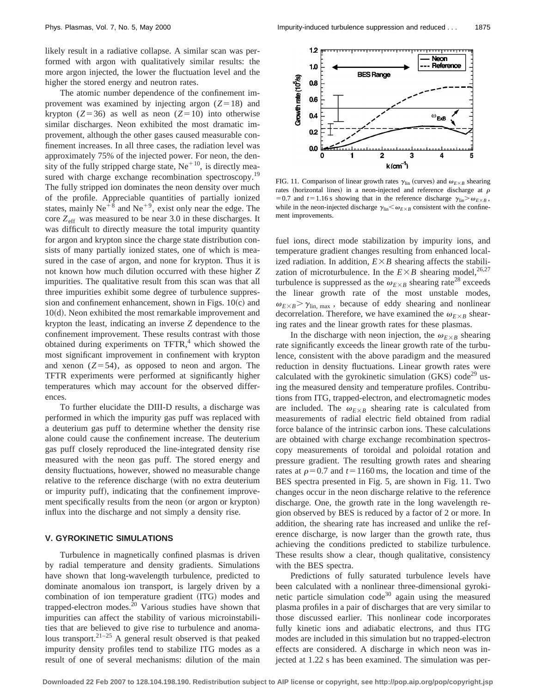likely result in a radiative collapse. A similar scan was performed with argon with qualitatively similar results: the more argon injected, the lower the fluctuation level and the higher the stored energy and neutron rates.

The atomic number dependence of the confinement improvement was examined by injecting argon  $(Z=18)$  and krypton  $(Z=36)$  as well as neon  $(Z=10)$  into otherwise similar discharges. Neon exhibited the most dramatic improvement, although the other gases caused measurable confinement increases. In all three cases, the radiation level was approximately 75% of the injected power. For neon, the density of the fully stripped charge state,  $Ne<sup>+10</sup>$ , is directly measured with charge exchange recombination spectroscopy.<sup>19</sup> The fully stripped ion dominates the neon density over much of the profile. Appreciable quantities of partially ionized states, mainly  $Ne^{+\frac{1}{8}}$  and  $Ne^{+9}$ , exist only near the edge. The core *Z*eff was measured to be near 3.0 in these discharges. It was difficult to directly measure the total impurity quantity for argon and krypton since the charge state distribution consists of many partially ionized states, one of which is measured in the case of argon, and none for krypton. Thus it is not known how much dilution occurred with these higher *Z* impurities. The qualitative result from this scan was that all three impurities exhibit some degree of turbulence suppression and confinement enhancement, shown in Figs.  $10(c)$  and  $10(d)$ . Neon exhibited the most remarkable improvement and krypton the least, indicating an inverse *Z* dependence to the confinement improvement. These results contrast with those obtained during experiments on  $TFTR<sup>4</sup>$  which showed the most significant improvement in confinement with krypton and xenon  $(Z=54)$ , as opposed to neon and argon. The TFTR experiments were performed at significantly higher temperatures which may account for the observed differences.

To further elucidate the DIII-D results, a discharge was performed in which the impurity gas puff was replaced with a deuterium gas puff to determine whether the density rise alone could cause the confinement increase. The deuterium gas puff closely reproduced the line-integrated density rise measured with the neon gas puff. The stored energy and density fluctuations, however, showed no measurable change relative to the reference discharge (with no extra deuterium or impurity puff), indicating that the confinement improvement specifically results from the neon (or argon or krypton) influx into the discharge and not simply a density rise.

## **V. GYROKINETIC SIMULATIONS**

Turbulence in magnetically confined plasmas is driven by radial temperature and density gradients. Simulations have shown that long-wavelength turbulence, predicted to dominate anomalous ion transport, is largely driven by a combination of ion temperature gradient (ITG) modes and trapped-electron modes.<sup>20</sup> Various studies have shown that impurities can affect the stability of various microinstabilities that are believed to give rise to turbulence and anomalous transport. $21-25$  A general result observed is that peaked impurity density profiles tend to stabilize ITG modes as a result of one of several mechanisms: dilution of the main



FIG. 11. Comparison of linear growth rates  $\gamma$ <sub>lin</sub> (curves) and  $\omega_{E\times B}$  shearing rates (horizontal lines) in a neon-injected and reference discharge at  $\rho$ = 0.7 and *t* = 1.16 s showing that in the reference discharge  $\gamma_{lin} > \omega_{E \times B}$ , while in the neon-injected discharge  $\gamma_{\text{lin}}<\omega_{E\times B}$  consistent with the confinement improvements.

fuel ions, direct mode stabilization by impurity ions, and temperature gradient changes resulting from enhanced localized radiation. In addition,  $E \times B$  shearing affects the stabilization of microturbulence. In the  $E \times B$  shearing model,<sup>26,27</sup> turbulence is suppressed as the  $\omega_{E\times B}$  shearing rate<sup>28</sup> exceeds the linear growth rate of the most unstable modes,  $\omega_{E\times B}$   $>$   $\gamma$ <sub>lin, max</sub>, because of eddy shearing and nonlinear decorrelation. Therefore, we have examined the  $\omega_{E\times B}$  shearing rates and the linear growth rates for these plasmas.

In the discharge with neon injection, the  $\omega_{E\times B}$  shearing rate significantly exceeds the linear growth rate of the turbulence, consistent with the above paradigm and the measured reduction in density fluctuations. Linear growth rates were calculated with the gyrokinetic simulation  $(GKS)$  code<sup>29</sup> using the measured density and temperature profiles. Contributions from ITG, trapped-electron, and electromagnetic modes are included. The  $\omega_{E\times B}$  shearing rate is calculated from measurements of radial electric field obtained from radial force balance of the intrinsic carbon ions. These calculations are obtained with charge exchange recombination spectroscopy measurements of toroidal and poloidal rotation and pressure gradient. The resulting growth rates and shearing rates at  $\rho$ =0.7 and  $t$ =1160 ms, the location and time of the BES spectra presented in Fig. 5, are shown in Fig. 11. Two changes occur in the neon discharge relative to the reference discharge. One, the growth rate in the long wavelength region observed by BES is reduced by a factor of 2 or more. In addition, the shearing rate has increased and unlike the reference discharge, is now larger than the growth rate, thus achieving the conditions predicted to stabilize turbulence. These results show a clear, though qualitative, consistency with the BES spectra.

Predictions of fully saturated turbulence levels have been calculated with a nonlinear three-dimensional gyrokinetic particle simulation  $code^{30}$  again using the measured plasma profiles in a pair of discharges that are very similar to those discussed earlier. This nonlinear code incorporates fully kinetic ions and adiabatic electrons, and thus ITG modes are included in this simulation but no trapped-electron effects are considered. A discharge in which neon was injected at 1.22 s has been examined. The simulation was per-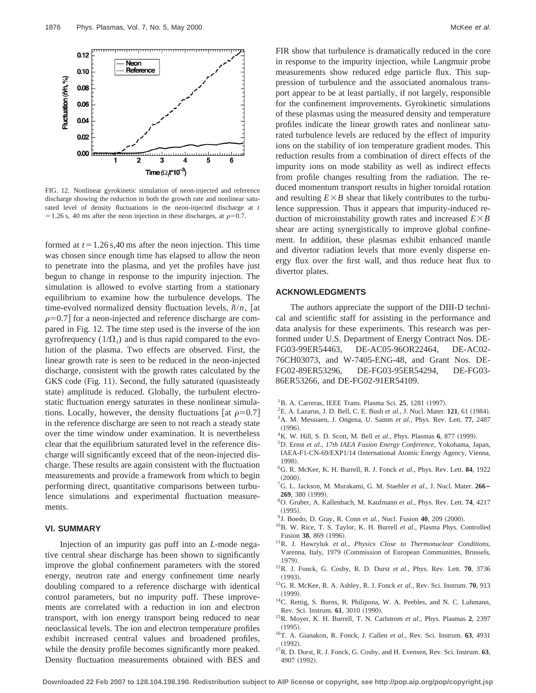

FIG. 12. Nonlinear gyrokinetic simulation of neon-injected and reference discharge showing the reduction in both the growth rate and nonlinear saturated level of density fluctuations in the neon-injected discharge at *t* = 1.26 s, 40 ms after the neon injection in these discharges, at  $\rho$ =0.7.

formed at  $t=1.26$  s,40 ms after the neon injection. This time was chosen since enough time has elapsed to allow the neon to penetrate into the plasma, and yet the profiles have just begun to change in response to the impurity injection. The simulation is allowed to evolve starting from a stationary equilibrium to examine how the turbulence develops. The time-evolved normalized density fluctuation levels,  $\tilde{n}/n$ , [at  $\rho$ =0.7 for a neon-injected and reference discharge are compared in Fig. 12. The time step used is the inverse of the ion gyrofrequency  $(1/\Omega_i)$  and is thus rapid compared to the evolution of the plasma. Two effects are observed. First, the linear growth rate is seen to be reduced in the neon-injected discharge, consistent with the growth rates calculated by the GKS code (Fig. 11). Second, the fully saturated (quasisteady state) amplitude is reduced. Globally, the turbulent electrostatic fluctuation energy saturates in these nonlinear simulations. Locally, however, the density fluctuations [at  $\rho=0.7$ ] in the reference discharge are seen to not reach a steady state over the time window under examination. It is nevertheless clear that the equilibrium saturated level in the reference discharge will significantly exceed that of the neon-injected discharge. These results are again consistent with the fluctuation measurements and provide a framework from which to begin performing direct, quantitative comparisons between turbulence simulations and experimental fluctuation measurements.

## **VI. SUMMARY**

Injection of an impurity gas puff into an *L*-mode negative central shear discharge has been shown to significantly improve the global confinement parameters with the stored energy, neutron rate and energy confinement time nearly doubling compared to a reference discharge with identical control parameters, but no impurity puff. These improvements are correlated with a reduction in ion and electron transport, with ion energy transport being reduced to near neoclassical levels. The ion and electron temperature profiles exhibit increased central values and broadened profiles, while the density profile becomes significantly more peaked. Density fluctuation measurements obtained with BES and FIR show that turbulence is dramatically reduced in the core in response to the impurity injection, while Langmuir probe measurements show reduced edge particle flux. This suppression of turbulence and the associated anomalous transport appear to be at least partially, if not largely, responsible for the confinement improvements. Gyrokinetic simulations of these plasmas using the measured density and temperature profiles indicate the linear growth rates and nonlinear saturated turbulence levels are reduced by the effect of impurity ions on the stability of ion temperature gradient modes. This reduction results from a combination of direct effects of the impurity ions on mode stability as well as indirect effects from profile changes resulting from the radiation. The reduced momentum transport results in higher toroidal rotation and resulting  $E \times B$  shear that likely contributes to the turbulence suppression. Thus it appears that impurity-induced reduction of microinstability growth rates and increased  $E \times B$ shear are acting synergistically to improve global confinement. In addition, these plasmas exhibit enhanced mantle and divertor radiation levels that more evenly disperse energy flux over the first wall, and thus reduce heat flux to divertor plates.

## **ACKNOWLEDGMENTS**

The authors appreciate the support of the DIII-D technical and scientific staff for assisting in the performance and data analysis for these experiments. This research was performed under U.S. Department of Energy Contract Nos. DE-FG03-99ER54463, DE-AC05-96OR22464, DE-AC02- 76CH03073, and W-7405-ENG-48, and Grant Nos. DE-FG02-89ER53296, DE-FG03-95ER54294, DE-FG03- 86ER53266, and DE-FG02-91ER54109.

- <sup>1</sup>B. A. Carreras, IEEE Trans. Plasma Sci. **25**, 1281 (1997).
- <sup>2</sup>E. A. Lazarus, J. D. Bell, C. E. Bush *et al.*, J. Nucl. Mater. **121**, 61 (1984). 3A. M. Messiaen, J. Ongena, U. Samm *et al.*, Phys. Rev. Lett. **77**, 2487  $(1996)$
- ${}^{4}$ K. W. Hill, S. D. Scott, M. Bell *et al.*, Phys. Plasmas 6, 877 (1999).
- 5D. Ernst *et al.*, *17th IAEA Fusion Energy Conference*, Yokohama, Japan, IAEA-F1-CN-69/EXP1/14 (International Atomic Energy Agency, Vienna, 1998)
- 6G. R. McKee, K. H. Burrell, R. J. Fonck *et al.*, Phys. Rev. Lett. **84**, 1922  $(2000).$
- 7G. L. Jackson, M. Murakami, G. M. Staebler *et al.*, J. Nucl. Mater. **266– 269**, 380 (1999).
- 8O. Gruber, A. Kallenbach, M. Kaufmann *et al.*, Phys. Rev. Lett. **74**, 4217  $(1995)$
- <sup>9</sup>J. Boedo, D. Gray, R. Conn et al., Nucl. Fusion 40, 209 (2000).
- <sup>10</sup>B. W. Rice, T. S. Taylor, K. H. Burrell et al., Plasma Phys. Controlled Fusion 38, 869 (1996).
- 11R. J. Hawryluk *et al.*, *Physics Close to Thermonuclear Conditions*, Varenna, Italy, 1979 (Commission of European Communities, Brussels, 1979).
- 12R. J. Fonck, G. Cosby, R. D. Durst *et al.*, Phys. Rev. Lett. **70**, 3736  $(1993).$
- 13G. R. McKee, R. A. Ashley, R. J. Fonck *et al.*, Rev. Sci. Instrum. **70**, 913  $(1999)$ .
- 14C. Rettig, S. Burns, R. Philipona, W. A. Peebles, and N. C. Luhmann, Rev. Sci. Instrum. 61, 3010 (1990).
- 15R. Moyer, K. H. Burrell, T. N. Carlstrom *et al.*, Phys. Plasmas **2**, 2397  $(1995)$
- 16T. A. Gianakon, R. Fonck, J. Callen *et al.*, Rev. Sci. Instrum. **63**, 4931  $(1992)$ .
- 17R. D. Durst, R. J. Fonck, G. Cosby, and H. Evensen, Rev. Sci. Instrum. **63**, 4907 (1992).